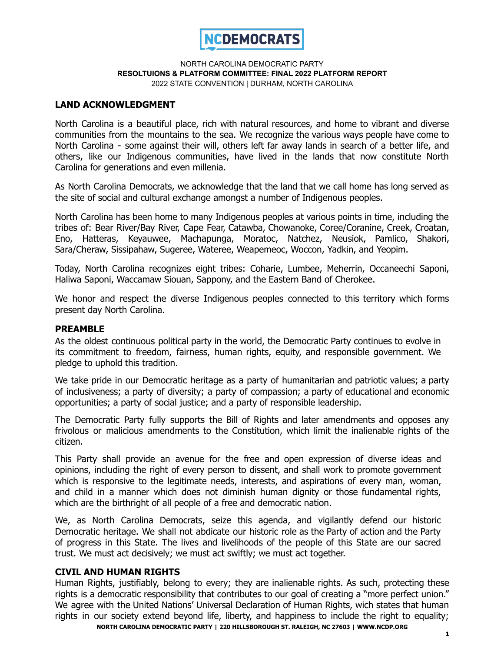

# **LAND ACKNOWLEDGMENT**

North Carolina is a beautiful place, rich with natural resources, and home to vibrant and diverse communities from the mountains to the sea. We recognize the various ways people have come to North Carolina - some against their will, others left far away lands in search of a better life, and others, like our Indigenous communities, have lived in the lands that now constitute North Carolina for generations and even millenia.

As North Carolina Democrats, we acknowledge that the land that we call home has long served as the site of social and cultural exchange amongst a number of Indigenous peoples.

North Carolina has been home to many Indigenous peoples at various points in time, including the tribes of: Bear River/Bay River, Cape Fear, Catawba, Chowanoke, Coree/Coranine, Creek, Croatan, Eno, Hatteras, Keyauwee, Machapunga, Moratoc, Natchez, Neusiok, Pamlico, Shakori, Sara/Cheraw, Sissipahaw, Sugeree, Wateree, Weapemeoc, Woccon, Yadkin, and Yeopim.

Today, North Carolina recognizes eight tribes: Coharie, Lumbee, Meherrin, Occaneechi Saponi, Haliwa Saponi, Waccamaw Siouan, Sappony, and the Eastern Band of Cherokee.

We honor and respect the diverse Indigenous peoples connected to this territory which forms present day North Carolina.

### **PREAMBLE**

As the oldest continuous political party in the world, the Democratic Party continues to evolve in its commitment to freedom, fairness, human rights, equity, and responsible government. We pledge to uphold this tradition.

We take pride in our Democratic heritage as a party of humanitarian and patriotic values; a party of inclusiveness; a party of diversity; a party of compassion; a party of educational and economic opportunities; a party of social justice; and a party of responsible leadership.

The Democratic Party fully supports the Bill of Rights and later amendments and opposes any frivolous or malicious amendments to the Constitution, which limit the inalienable rights of the citizen.

This Party shall provide an avenue for the free and open expression of diverse ideas and opinions, including the right of every person to dissent, and shall work to promote government which is responsive to the legitimate needs, interests, and aspirations of every man, woman, and child in a manner which does not diminish human dignity or those fundamental rights, which are the birthright of all people of a free and democratic nation.

We, as North Carolina Democrats, seize this agenda, and vigilantly defend our historic Democratic heritage. We shall not abdicate our historic role as the Party of action and the Party of progress in this State. The lives and livelihoods of the people of this State are our sacred trust. We must act decisively; we must act swiftly; we must act together.

### **CIVIL AND HUMAN RIGHTS**

Human Rights, justifiably, belong to every; they are inalienable rights. As such, protecting these rights is a democratic responsibility that contributes to our goal of creating a "more perfect union." We agree with the United Nations' Universal Declaration of Human Rights, wich states that human rights in our society extend beyond life, liberty, and happiness to include the right to equality; **NORTH CAROLINA DEMOCRATIC PARTY | 220 HILLSBOROUGH ST. RALEIGH, NC 27603 | WWW.NCDP.ORG**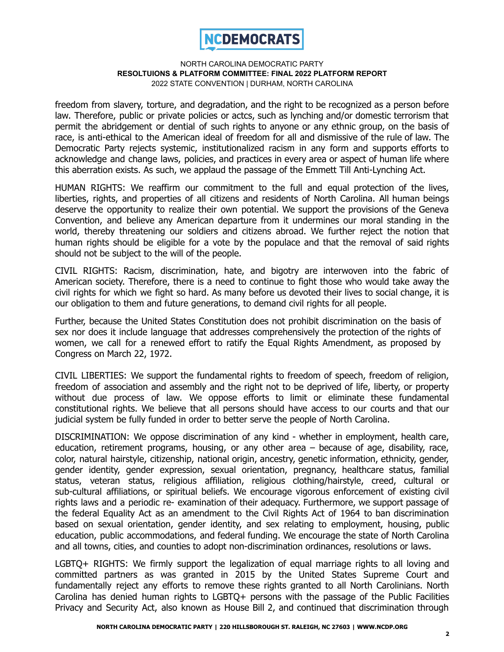

freedom from slavery, torture, and degradation, and the right to be recognized as a person before law. Therefore, public or private policies or actcs, such as lynching and/or domestic terrorism that permit the abridgement or dential of such rights to anyone or any ethnic group, on the basis of race, is anti-ethical to the American ideal of freedom for all and dismissive of the rule of law. The Democratic Party rejects systemic, institutionalized racism in any form and supports efforts to acknowledge and change laws, policies, and practices in every area or aspect of human life where this aberration exists. As such, we applaud the passage of the Emmett Till Anti-Lynching Act.

HUMAN RIGHTS: We reaffirm our commitment to the full and equal protection of the lives, liberties, rights, and properties of all citizens and residents of North Carolina. All human beings deserve the opportunity to realize their own potential. We support the provisions of the Geneva Convention, and believe any American departure from it undermines our moral standing in the world, thereby threatening our soldiers and citizens abroad. We further reject the notion that human rights should be eligible for a vote by the populace and that the removal of said rights should not be subject to the will of the people.

CIVIL RIGHTS: Racism, discrimination, hate, and bigotry are interwoven into the fabric of American society. Therefore, there is a need to continue to fight those who would take away the civil rights for which we fight so hard. As many before us devoted their lives to social change, it is our obligation to them and future generations, to demand civil rights for all people.

Further, because the United States Constitution does not prohibit discrimination on the basis of sex nor does it include language that addresses comprehensively the protection of the rights of women, we call for a renewed effort to ratify the Equal Rights Amendment, as proposed by Congress on March 22, 1972.

CIVIL LIBERTIES: We support the fundamental rights to freedom of speech, freedom of religion, freedom of association and assembly and the right not to be deprived of life, liberty, or property without due process of law. We oppose efforts to limit or eliminate these fundamental constitutional rights. We believe that all persons should have access to our courts and that our judicial system be fully funded in order to better serve the people of North Carolina.

DISCRIMINATION: We oppose discrimination of any kind - whether in employment, health care, education, retirement programs, housing, or any other area – because of age, disability, race, color, natural hairstyle, citizenship, national origin, ancestry, genetic information, ethnicity, gender, gender identity, gender expression, sexual orientation, pregnancy, healthcare status, familial status, veteran status, religious affiliation, religious clothing/hairstyle, creed, cultural or sub-cultural affiliations, or spiritual beliefs. We encourage vigorous enforcement of existing civil rights laws and a periodic re- examination of their adequacy. Furthermore, we support passage of the federal Equality Act as an amendment to the Civil Rights Act of 1964 to ban discrimination based on sexual orientation, gender identity, and sex relating to employment, housing, public education, public accommodations, and federal funding. We encourage the state of North Carolina and all towns, cities, and counties to adopt non-discrimination ordinances, resolutions or laws.

LGBTQ+ RIGHTS: We firmly support the legalization of equal marriage rights to all loving and committed partners as was granted in 2015 by the United States Supreme Court and fundamentally reject any efforts to remove these rights granted to all North Carolinians. North Carolina has denied human rights to LGBTQ+ persons with the passage of the Public Facilities Privacy and Security Act, also known as House Bill 2, and continued that discrimination through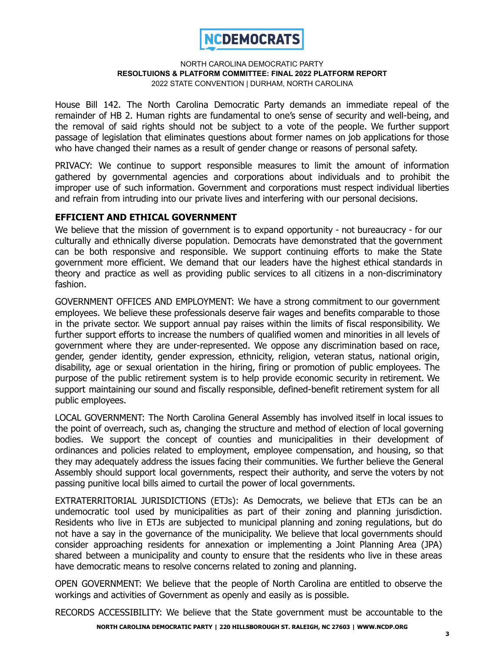

House Bill 142. The North Carolina Democratic Party demands an immediate repeal of the remainder of HB 2. Human rights are fundamental to one's sense of security and well-being, and the removal of said rights should not be subject to a vote of the people. We further support passage of legislation that eliminates questions about former names on job applications for those who have changed their names as a result of gender change or reasons of personal safety.

PRIVACY: We continue to support responsible measures to limit the amount of information gathered by governmental agencies and corporations about individuals and to prohibit the improper use of such information. Government and corporations must respect individual liberties and refrain from intruding into our private lives and interfering with our personal decisions.

# **EFFICIENT AND ETHICAL GOVERNMENT**

We believe that the mission of government is to expand opportunity - not bureaucracy - for our culturally and ethnically diverse population. Democrats have demonstrated that the government can be both responsive and responsible. We support continuing efforts to make the State government more efficient. We demand that our leaders have the highest ethical standards in theory and practice as well as providing public services to all citizens in a non-discriminatory fashion.

GOVERNMENT OFFICES AND EMPLOYMENT: We have a strong commitment to our government employees. We believe these professionals deserve fair wages and benefits comparable to those in the private sector. We support annual pay raises within the limits of fiscal responsibility. We further support efforts to increase the numbers of qualified women and minorities in all levels of government where they are under-represented. We oppose any discrimination based on race, gender, gender identity, gender expression, ethnicity, religion, veteran status, national origin, disability, age or sexual orientation in the hiring, firing or promotion of public employees. The purpose of the public retirement system is to help provide economic security in retirement. We support maintaining our sound and fiscally responsible, defined-benefit retirement system for all public employees.

LOCAL GOVERNMENT: The North Carolina General Assembly has involved itself in local issues to the point of overreach, such as, changing the structure and method of election of local governing bodies. We support the concept of counties and municipalities in their development of ordinances and policies related to employment, employee compensation, and housing, so that they may adequately address the issues facing their communities. We further believe the General Assembly should support local governments, respect their authority, and serve the voters by not passing punitive local bills aimed to curtail the power of local governments.

EXTRATERRITORIAL JURISDICTIONS (ETJs): As Democrats, we believe that ETJs can be an undemocratic tool used by municipalities as part of their zoning and planning jurisdiction. Residents who live in ETJs are subjected to municipal planning and zoning regulations, but do not have a say in the governance of the municipality. We believe that local governments should consider approaching residents for annexation or implementing a Joint Planning Area (JPA) shared between a municipality and county to ensure that the residents who live in these areas have democratic means to resolve concerns related to zoning and planning.

OPEN GOVERNMENT: We believe that the people of North Carolina are entitled to observe the workings and activities of Government as openly and easily as is possible.

RECORDS ACCESSIBILITY: We believe that the State government must be accountable to the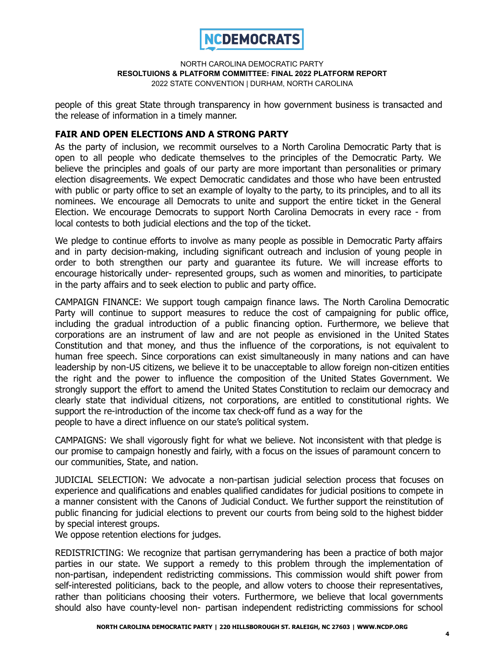

people of this great State through transparency in how government business is transacted and the release of information in a timely manner.

# **FAIR AND OPEN ELECTIONS AND A STRONG PARTY**

As the party of inclusion, we recommit ourselves to a North Carolina Democratic Party that is open to all people who dedicate themselves to the principles of the Democratic Party. We believe the principles and goals of our party are more important than personalities or primary election disagreements. We expect Democratic candidates and those who have been entrusted with public or party office to set an example of loyalty to the party, to its principles, and to all its nominees. We encourage all Democrats to unite and support the entire ticket in the General Election. We encourage Democrats to support North Carolina Democrats in every race - from local contests to both judicial elections and the top of the ticket.

We pledge to continue efforts to involve as many people as possible in Democratic Party affairs and in party decision-making, including significant outreach and inclusion of young people in order to both strengthen our party and guarantee its future. We will increase efforts to encourage historically under- represented groups, such as women and minorities, to participate in the party affairs and to seek election to public and party office.

CAMPAIGN FINANCE: We support tough campaign finance laws. The North Carolina Democratic Party will continue to support measures to reduce the cost of campaigning for public office, including the gradual introduction of a public financing option. Furthermore, we believe that corporations are an instrument of law and are not people as envisioned in the United States Constitution and that money, and thus the influence of the corporations, is not equivalent to human free speech. Since corporations can exist simultaneously in many nations and can have leadership by non-US citizens, we believe it to be unacceptable to allow foreign non-citizen entities the right and the power to influence the composition of the United States Government. We strongly support the effort to amend the United States Constitution to reclaim our democracy and clearly state that individual citizens, not corporations, are entitled to constitutional rights. We support the re-introduction of the income tax check-off fund as a way for the people to have a direct influence on our state's political system.

CAMPAIGNS: We shall vigorously fight for what we believe. Not inconsistent with that pledge is our promise to campaign honestly and fairly, with a focus on the issues of paramount concern to our communities, State, and nation.

JUDICIAL SELECTION: We advocate a non-partisan judicial selection process that focuses on experience and qualifications and enables qualified candidates for judicial positions to compete in a manner consistent with the Canons of Judicial Conduct. We further support the reinstitution of public financing for judicial elections to prevent our courts from being sold to the highest bidder by special interest groups.

We oppose retention elections for judges.

REDISTRICTING: We recognize that partisan gerrymandering has been a practice of both major parties in our state. We support a remedy to this problem through the implementation of non-partisan, independent redistricting commissions. This commission would shift power from self-interested politicians, back to the people, and allow voters to choose their representatives, rather than politicians choosing their voters. Furthermore, we believe that local governments should also have county-level non- partisan independent redistricting commissions for school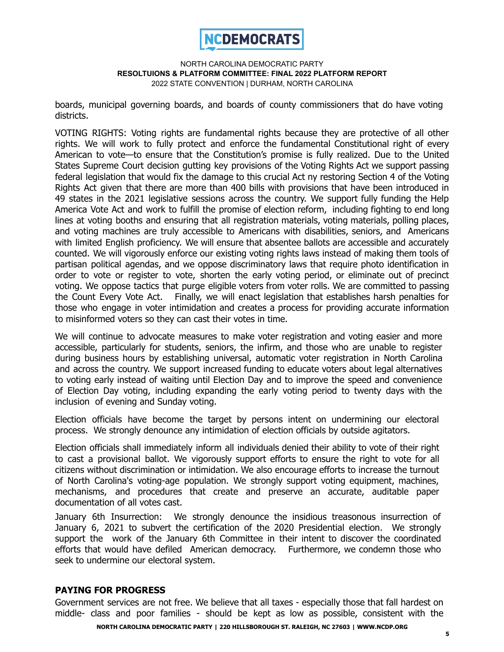

boards, municipal governing boards, and boards of county commissioners that do have voting districts.

VOTING RIGHTS: Voting rights are fundamental rights because they are protective of all other rights. We will work to fully protect and enforce the fundamental Constitutional right of every American to vote—to ensure that the Constitution's promise is fully realized. Due to the United States Supreme Court decision gutting key provisions of the Voting Rights Act we support passing federal legislation that would fix the damage to this crucial Act ny restoring Section 4 of the Voting Rights Act given that there are more than 400 bills with provisions that have been introduced in 49 states in the 2021 legislative sessions across the country. We support fully funding the Help America Vote Act and work to fulfill the promise of election reform, including fighting to end long lines at voting booths and ensuring that all registration materials, voting materials, polling places, and voting machines are truly accessible to Americans with disabilities, seniors, and Americans with limited English proficiency. We will ensure that absentee ballots are accessible and accurately counted. We will vigorously enforce our existing voting rights laws instead of making them tools of partisan political agendas, and we oppose discriminatory laws that require photo identification in order to vote or register to vote, shorten the early voting period, or eliminate out of precinct voting. We oppose tactics that purge eligible voters from voter rolls. We are committed to passing the Count Every Vote Act. Finally, we will enact legislation that establishes harsh penalties for those who engage in voter intimidation and creates a process for providing accurate information to misinformed voters so they can cast their votes in time.

We will continue to advocate measures to make voter registration and voting easier and more accessible, particularly for students, seniors, the infirm, and those who are unable to register during business hours by establishing universal, automatic voter registration in North Carolina and across the country. We support increased funding to educate voters about legal alternatives to voting early instead of waiting until Election Day and to improve the speed and convenience of Election Day voting, including expanding the early voting period to twenty days with the inclusion of evening and Sunday voting.

Election officials have become the target by persons intent on undermining our electoral process. We strongly denounce any intimidation of election officials by outside agitators.

Election officials shall immediately inform all individuals denied their ability to vote of their right to cast a provisional ballot. We vigorously support efforts to ensure the right to vote for all citizens without discrimination or intimidation. We also encourage efforts to increase the turnout of North Carolina's voting-age population. We strongly support voting equipment, machines, mechanisms, and procedures that create and preserve an accurate, auditable paper documentation of all votes cast.

January 6th Insurrection: We strongly denounce the insidious treasonous insurrection of January 6, 2021 to subvert the certification of the 2020 Presidential election. We strongly support the work of the January 6th Committee in their intent to discover the coordinated efforts that would have defiled American democracy. Furthermore, we condemn those who seek to undermine our electoral system.

### **PAYING FOR PROGRESS**

Government services are not free. We believe that all taxes - especially those that fall hardest on middle- class and poor families - should be kept as low as possible, consistent with the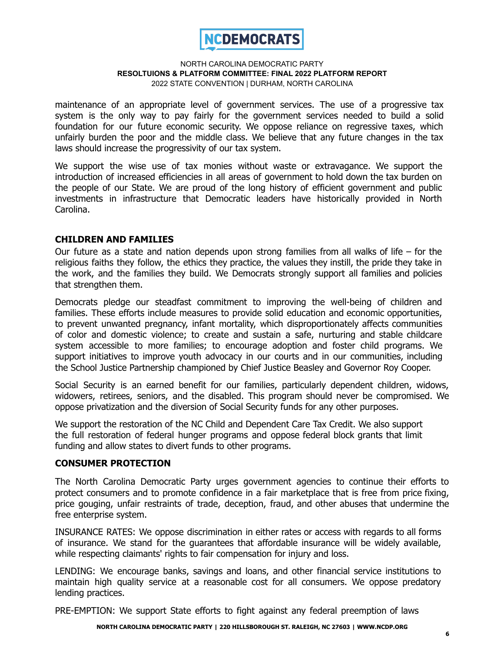

maintenance of an appropriate level of government services. The use of a progressive tax system is the only way to pay fairly for the government services needed to build a solid foundation for our future economic security. We oppose reliance on regressive taxes, which unfairly burden the poor and the middle class. We believe that any future changes in the tax laws should increase the progressivity of our tax system.

We support the wise use of tax monies without waste or extravagance. We support the introduction of increased efficiencies in all areas of government to hold down the tax burden on the people of our State. We are proud of the long history of efficient government and public investments in infrastructure that Democratic leaders have historically provided in North Carolina.

# **CHILDREN AND FAMILIES**

Our future as a state and nation depends upon strong families from all walks of life – for the religious faiths they follow, the ethics they practice, the values they instill, the pride they take in the work, and the families they build. We Democrats strongly support all families and policies that strengthen them.

Democrats pledge our steadfast commitment to improving the well-being of children and families. These efforts include measures to provide solid education and economic opportunities, to prevent unwanted pregnancy, infant mortality, which disproportionately affects communities of color and domestic violence; to create and sustain a safe, nurturing and stable childcare system accessible to more families; to encourage adoption and foster child programs. We support initiatives to improve youth advocacy in our courts and in our communities, including the School Justice Partnership championed by Chief Justice Beasley and Governor Roy Cooper.

Social Security is an earned benefit for our families, particularly dependent children, widows, widowers, retirees, seniors, and the disabled. This program should never be compromised. We oppose privatization and the diversion of Social Security funds for any other purposes.

We support the restoration of the NC Child and Dependent Care Tax Credit. We also support the full restoration of federal hunger programs and oppose federal block grants that limit funding and allow states to divert funds to other programs.

### **CONSUMER PROTECTION**

The North Carolina Democratic Party urges government agencies to continue their efforts to protect consumers and to promote confidence in a fair marketplace that is free from price fixing, price gouging, unfair restraints of trade, deception, fraud, and other abuses that undermine the free enterprise system.

INSURANCE RATES: We oppose discrimination in either rates or access with regards to all forms of insurance. We stand for the guarantees that affordable insurance will be widely available, while respecting claimants' rights to fair compensation for injury and loss.

LENDING: We encourage banks, savings and loans, and other financial service institutions to maintain high quality service at a reasonable cost for all consumers. We oppose predatory lending practices.

PRE-EMPTION: We support State efforts to fight against any federal preemption of laws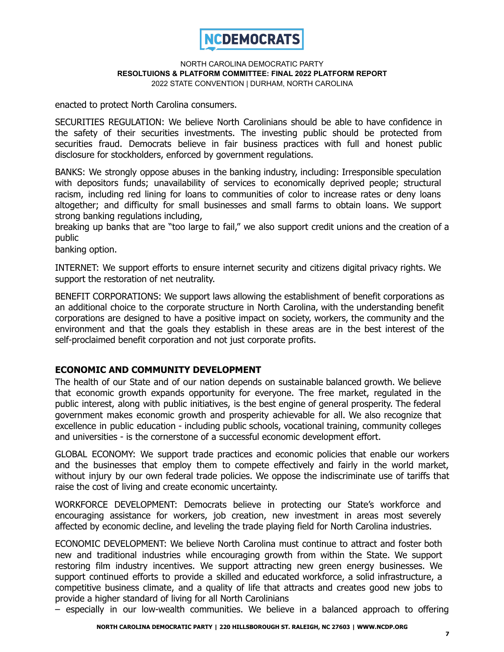

enacted to protect North Carolina consumers.

SECURITIES REGULATION: We believe North Carolinians should be able to have confidence in the safety of their securities investments. The investing public should be protected from securities fraud. Democrats believe in fair business practices with full and honest public disclosure for stockholders, enforced by government regulations.

BANKS: We strongly oppose abuses in the banking industry, including: Irresponsible speculation with depositors funds; unavailability of services to economically deprived people; structural racism, including red lining for loans to communities of color to increase rates or deny loans altogether; and difficulty for small businesses and small farms to obtain loans. We support strong banking regulations including,

breaking up banks that are "too large to fail," we also support credit unions and the creation of a public

banking option.

INTERNET: We support efforts to ensure internet security and citizens digital privacy rights. We support the restoration of net neutrality.

BENEFIT CORPORATIONS: We support laws allowing the establishment of benefit corporations as an additional choice to the corporate structure in North Carolina, with the understanding benefit corporations are designed to have a positive impact on society, workers, the community and the environment and that the goals they establish in these areas are in the best interest of the self-proclaimed benefit corporation and not just corporate profits.

# **ECONOMIC AND COMMUNITY DEVELOPMENT**

The health of our State and of our nation depends on sustainable balanced growth. We believe that economic growth expands opportunity for everyone. The free market, regulated in the public interest, along with public initiatives, is the best engine of general prosperity. The federal government makes economic growth and prosperity achievable for all. We also recognize that excellence in public education - including public schools, vocational training, community colleges and universities - is the cornerstone of a successful economic development effort.

GLOBAL ECONOMY: We support trade practices and economic policies that enable our workers and the businesses that employ them to compete effectively and fairly in the world market, without injury by our own federal trade policies. We oppose the indiscriminate use of tariffs that raise the cost of living and create economic uncertainty.

WORKFORCE DEVELOPMENT: Democrats believe in protecting our State's workforce and encouraging assistance for workers, job creation, new investment in areas most severely affected by economic decline, and leveling the trade playing field for North Carolina industries.

ECONOMIC DEVELOPMENT: We believe North Carolina must continue to attract and foster both new and traditional industries while encouraging growth from within the State. We support restoring film industry incentives. We support attracting new green energy businesses. We support continued efforts to provide a skilled and educated workforce, a solid infrastructure, a competitive business climate, and a quality of life that attracts and creates good new jobs to provide a higher standard of living for all North Carolinians

– especially in our low-wealth communities. We believe in a balanced approach to offering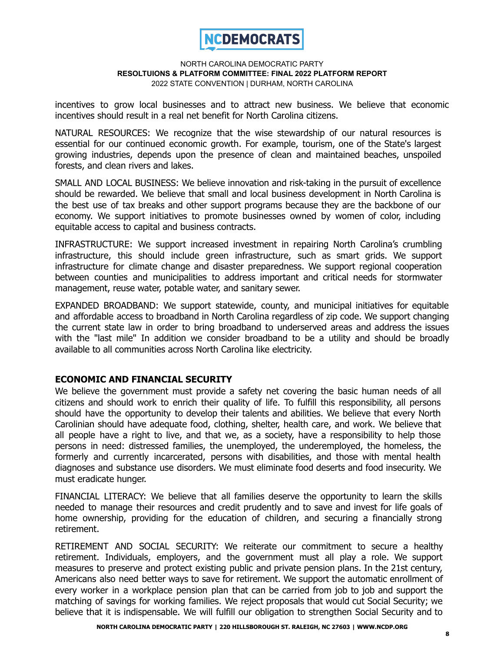

incentives to grow local businesses and to attract new business. We believe that economic incentives should result in a real net benefit for North Carolina citizens.

NATURAL RESOURCES: We recognize that the wise stewardship of our natural resources is essential for our continued economic growth. For example, tourism, one of the State's largest growing industries, depends upon the presence of clean and maintained beaches, unspoiled forests, and clean rivers and lakes.

SMALL AND LOCAL BUSINESS: We believe innovation and risk-taking in the pursuit of excellence should be rewarded. We believe that small and local business development in North Carolina is the best use of tax breaks and other support programs because they are the backbone of our economy. We support initiatives to promote businesses owned by women of color, including equitable access to capital and business contracts.

INFRASTRUCTURE: We support increased investment in repairing North Carolina's crumbling infrastructure, this should include green infrastructure, such as smart grids. We support infrastructure for climate change and disaster preparedness. We support regional cooperation between counties and municipalities to address important and critical needs for stormwater management, reuse water, potable water, and sanitary sewer.

EXPANDED BROADBAND: We support statewide, county, and municipal initiatives for equitable and affordable access to broadband in North Carolina regardless of zip code. We support changing the current state law in order to bring broadband to underserved areas and address the issues with the "last mile" In addition we consider broadband to be a utility and should be broadly available to all communities across North Carolina like electricity.

# **ECONOMIC AND FINANCIAL SECURITY**

We believe the government must provide a safety net covering the basic human needs of all citizens and should work to enrich their quality of life. To fulfill this responsibility, all persons should have the opportunity to develop their talents and abilities. We believe that every North Carolinian should have adequate food, clothing, shelter, health care, and work. We believe that all people have a right to live, and that we, as a society, have a responsibility to help those persons in need: distressed families, the unemployed, the underemployed, the homeless, the formerly and currently incarcerated, persons with disabilities, and those with mental health diagnoses and substance use disorders. We must eliminate food deserts and food insecurity. We must eradicate hunger.

FINANCIAL LITERACY: We believe that all families deserve the opportunity to learn the skills needed to manage their resources and credit prudently and to save and invest for life goals of home ownership, providing for the education of children, and securing a financially strong retirement.

RETIREMENT AND SOCIAL SECURITY: We reiterate our commitment to secure a healthy retirement. Individuals, employers, and the government must all play a role. We support measures to preserve and protect existing public and private pension plans. In the 21st century, Americans also need better ways to save for retirement. We support the automatic enrollment of every worker in a workplace pension plan that can be carried from job to job and support the matching of savings for working families. We reject proposals that would cut Social Security; we believe that it is indispensable. We will fulfill our obligation to strengthen Social Security and to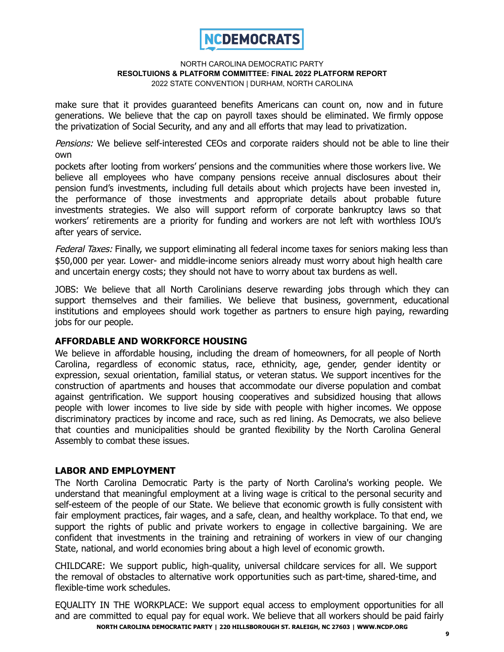

make sure that it provides guaranteed benefits Americans can count on, now and in future generations. We believe that the cap on payroll taxes should be eliminated. We firmly oppose the privatization of Social Security, and any and all efforts that may lead to privatization.

Pensions: We believe self-interested CEOs and corporate raiders should not be able to line their own

pockets after looting from workers' pensions and the communities where those workers live. We believe all employees who have company pensions receive annual disclosures about their pension fund's investments, including full details about which projects have been invested in, the performance of those investments and appropriate details about probable future investments strategies. We also will support reform of corporate bankruptcy laws so that workers' retirements are a priority for funding and workers are not left with worthless IOU's after years of service.

Federal Taxes: Finally, we support eliminating all federal income taxes for seniors making less than \$50,000 per year. Lower- and middle-income seniors already must worry about high health care and uncertain energy costs; they should not have to worry about tax burdens as well.

JOBS: We believe that all North Carolinians deserve rewarding jobs through which they can support themselves and their families. We believe that business, government, educational institutions and employees should work together as partners to ensure high paying, rewarding jobs for our people.

# **AFFORDABLE AND WORKFORCE HOUSING**

We believe in affordable housing, including the dream of homeowners, for all people of North Carolina, regardless of economic status, race, ethnicity, age, gender, gender identity or expression, sexual orientation, familial status, or veteran status. We support incentives for the construction of apartments and houses that accommodate our diverse population and combat against gentrification. We support housing cooperatives and subsidized housing that allows people with lower incomes to live side by side with people with higher incomes. We oppose discriminatory practices by income and race, such as red lining. As Democrats, we also believe that counties and municipalities should be granted flexibility by the North Carolina General Assembly to combat these issues.

# **LABOR AND EMPLOYMENT**

The North Carolina Democratic Party is the party of North Carolina's working people. We understand that meaningful employment at a living wage is critical to the personal security and self-esteem of the people of our State. We believe that economic growth is fully consistent with fair employment practices, fair wages, and a safe, clean, and healthy workplace. To that end, we support the rights of public and private workers to engage in collective bargaining. We are confident that investments in the training and retraining of workers in view of our changing State, national, and world economies bring about a high level of economic growth.

CHILDCARE: We support public, high-quality, universal childcare services for all. We support the removal of obstacles to alternative work opportunities such as part-time, shared-time, and flexible-time work schedules.

EQUALITY IN THE WORKPLACE: We support equal access to employment opportunities for all and are committed to equal pay for equal work. We believe that all workers should be paid fairly **NORTH CAROLINA DEMOCRATIC PARTY | 220 HILLSBOROUGH ST. RALEIGH, NC 27603 | WWW.NCDP.ORG**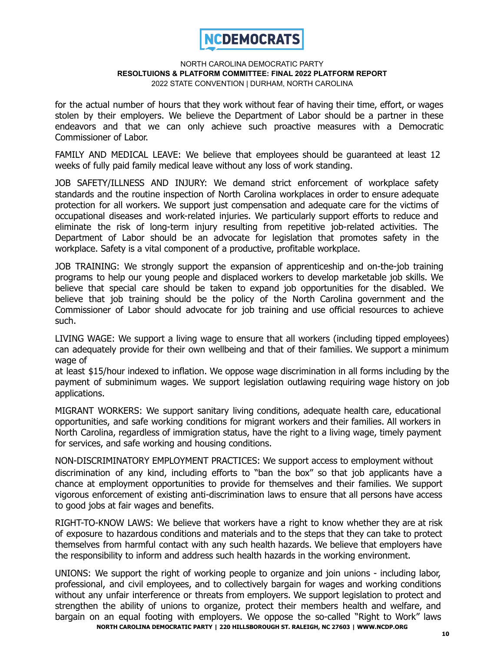

for the actual number of hours that they work without fear of having their time, effort, or wages stolen by their employers. We believe the Department of Labor should be a partner in these endeavors and that we can only achieve such proactive measures with a Democratic Commissioner of Labor.

FAMILY AND MEDICAL LEAVE: We believe that employees should be guaranteed at least 12 weeks of fully paid family medical leave without any loss of work standing.

JOB SAFETY/ILLNESS AND INJURY: We demand strict enforcement of workplace safety standards and the routine inspection of North Carolina workplaces in order to ensure adequate protection for all workers. We support just compensation and adequate care for the victims of occupational diseases and work-related injuries. We particularly support efforts to reduce and eliminate the risk of long-term injury resulting from repetitive job-related activities. The Department of Labor should be an advocate for legislation that promotes safety in the workplace. Safety is a vital component of a productive, profitable workplace.

JOB TRAINING: We strongly support the expansion of apprenticeship and on-the-job training programs to help our young people and displaced workers to develop marketable job skills. We believe that special care should be taken to expand job opportunities for the disabled. We believe that job training should be the policy of the North Carolina government and the Commissioner of Labor should advocate for job training and use official resources to achieve such.

LIVING WAGE: We support a living wage to ensure that all workers (including tipped employees) can adequately provide for their own wellbeing and that of their families. We support a minimum wage of

at least \$15/hour indexed to inflation. We oppose wage discrimination in all forms including by the payment of subminimum wages. We support legislation outlawing requiring wage history on job applications.

MIGRANT WORKERS: We support sanitary living conditions, adequate health care, educational opportunities, and safe working conditions for migrant workers and their families. All workers in North Carolina, regardless of immigration status, have the right to a living wage, timely payment for services, and safe working and housing conditions.

NON-DISCRIMINATORY EMPLOYMENT PRACTICES: We support access to employment without discrimination of any kind, including efforts to "ban the box" so that job applicants have a chance at employment opportunities to provide for themselves and their families. We support vigorous enforcement of existing anti-discrimination laws to ensure that all persons have access to good jobs at fair wages and benefits.

RIGHT-TO-KNOW LAWS: We believe that workers have a right to know whether they are at risk of exposure to hazardous conditions and materials and to the steps that they can take to protect themselves from harmful contact with any such health hazards. We believe that employers have the responsibility to inform and address such health hazards in the working environment.

UNIONS: We support the right of working people to organize and join unions - including labor, professional, and civil employees, and to collectively bargain for wages and working conditions without any unfair interference or threats from employers. We support legislation to protect and strengthen the ability of unions to organize, protect their members health and welfare, and bargain on an equal footing with employers. We oppose the so-called "Right to Work" laws **NORTH CAROLINA DEMOCRATIC PARTY | 220 HILLSBOROUGH ST. RALEIGH, NC 27603 | WWW.NCDP.ORG**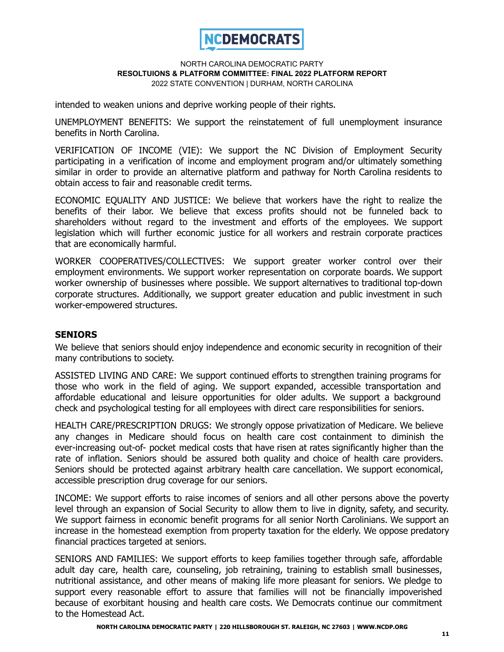

intended to weaken unions and deprive working people of their rights.

UNEMPLOYMENT BENEFITS: We support the reinstatement of full unemployment insurance benefits in North Carolina.

VERIFICATION OF INCOME (VIE): We support the NC Division of Employment Security participating in a verification of income and employment program and/or ultimately something similar in order to provide an alternative platform and pathway for North Carolina residents to obtain access to fair and reasonable credit terms.

ECONOMIC EQUALITY AND JUSTICE: We believe that workers have the right to realize the benefits of their labor. We believe that excess profits should not be funneled back to shareholders without regard to the investment and efforts of the employees. We support legislation which will further economic justice for all workers and restrain corporate practices that are economically harmful.

WORKER COOPERATIVES/COLLECTIVES: We support greater worker control over their employment environments. We support worker representation on corporate boards. We support worker ownership of businesses where possible. We support alternatives to traditional top-down corporate structures. Additionally, we support greater education and public investment in such worker-empowered structures.

# **SENIORS**

We believe that seniors should enjoy independence and economic security in recognition of their many contributions to society.

ASSISTED LIVING AND CARE: We support continued efforts to strengthen training programs for those who work in the field of aging. We support expanded, accessible transportation and affordable educational and leisure opportunities for older adults. We support a background check and psychological testing for all employees with direct care responsibilities for seniors.

HEALTH CARE/PRESCRIPTION DRUGS: We strongly oppose privatization of Medicare. We believe any changes in Medicare should focus on health care cost containment to diminish the ever-increasing out-of- pocket medical costs that have risen at rates significantly higher than the rate of inflation. Seniors should be assured both quality and choice of health care providers. Seniors should be protected against arbitrary health care cancellation. We support economical, accessible prescription drug coverage for our seniors.

INCOME: We support efforts to raise incomes of seniors and all other persons above the poverty level through an expansion of Social Security to allow them to live in dignity, safety, and security. We support fairness in economic benefit programs for all senior North Carolinians. We support an increase in the homestead exemption from property taxation for the elderly. We oppose predatory financial practices targeted at seniors.

SENIORS AND FAMILIES: We support efforts to keep families together through safe, affordable adult day care, health care, counseling, job retraining, training to establish small businesses, nutritional assistance, and other means of making life more pleasant for seniors. We pledge to support every reasonable effort to assure that families will not be financially impoverished because of exorbitant housing and health care costs. We Democrats continue our commitment to the Homestead Act.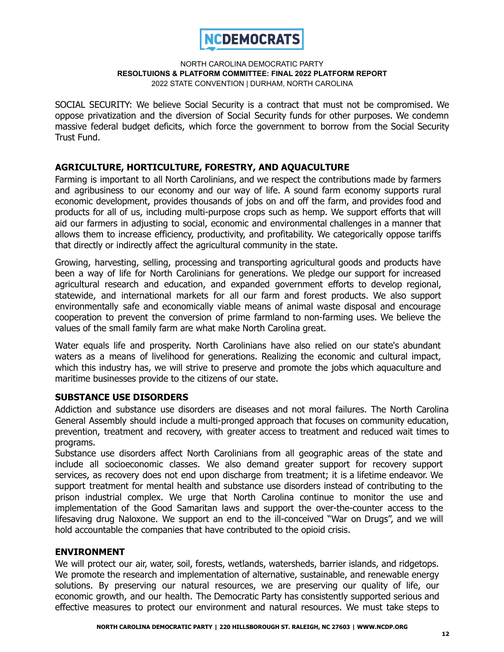

SOCIAL SECURITY: We believe Social Security is a contract that must not be compromised. We oppose privatization and the diversion of Social Security funds for other purposes. We condemn massive federal budget deficits, which force the government to borrow from the Social Security Trust Fund.

# **AGRICULTURE, HORTICULTURE, FORESTRY, AND AQUACULTURE**

Farming is important to all North Carolinians, and we respect the contributions made by farmers and agribusiness to our economy and our way of life. A sound farm economy supports rural economic development, provides thousands of jobs on and off the farm, and provides food and products for all of us, including multi-purpose crops such as hemp. We support efforts that will aid our farmers in adjusting to social, economic and environmental challenges in a manner that allows them to increase efficiency, productivity, and profitability. We categorically oppose tariffs that directly or indirectly affect the agricultural community in the state.

Growing, harvesting, selling, processing and transporting agricultural goods and products have been a way of life for North Carolinians for generations. We pledge our support for increased agricultural research and education, and expanded government efforts to develop regional, statewide, and international markets for all our farm and forest products. We also support environmentally safe and economically viable means of animal waste disposal and encourage cooperation to prevent the conversion of prime farmland to non-farming uses. We believe the values of the small family farm are what make North Carolina great.

Water equals life and prosperity. North Carolinians have also relied on our state's abundant waters as a means of livelihood for generations. Realizing the economic and cultural impact, which this industry has, we will strive to preserve and promote the jobs which aquaculture and maritime businesses provide to the citizens of our state.

# **SUBSTANCE USE DISORDERS**

Addiction and substance use disorders are diseases and not moral failures. The North Carolina General Assembly should include a multi-pronged approach that focuses on community education, prevention, treatment and recovery, with greater access to treatment and reduced wait times to programs.

Substance use disorders affect North Carolinians from all geographic areas of the state and include all socioeconomic classes. We also demand greater support for recovery support services, as recovery does not end upon discharge from treatment; it is a lifetime endeavor. We support treatment for mental health and substance use disorders instead of contributing to the prison industrial complex. We urge that North Carolina continue to monitor the use and implementation of the Good Samaritan laws and support the over-the-counter access to the lifesaving drug Naloxone. We support an end to the ill-conceived "War on Drugs", and we will hold accountable the companies that have contributed to the opioid crisis.

# **ENVIRONMENT**

We will protect our air, water, soil, forests, wetlands, watersheds, barrier islands, and ridgetops. We promote the research and implementation of alternative, sustainable, and renewable energy solutions. By preserving our natural resources, we are preserving our quality of life, our economic growth, and our health. The Democratic Party has consistently supported serious and effective measures to protect our environment and natural resources. We must take steps to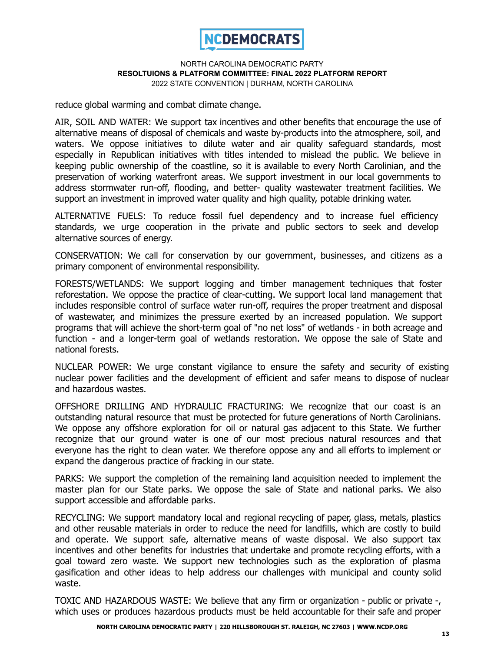

reduce global warming and combat climate change.

AIR, SOIL AND WATER: We support tax incentives and other benefits that encourage the use of alternative means of disposal of chemicals and waste by-products into the atmosphere, soil, and waters. We oppose initiatives to dilute water and air quality safeguard standards, most especially in Republican initiatives with titles intended to mislead the public. We believe in keeping public ownership of the coastline, so it is available to every North Carolinian, and the preservation of working waterfront areas. We support investment in our local governments to address stormwater run-off, flooding, and better- quality wastewater treatment facilities. We support an investment in improved water quality and high quality, potable drinking water.

ALTERNATIVE FUELS: To reduce fossil fuel dependency and to increase fuel efficiency standards, we urge cooperation in the private and public sectors to seek and develop alternative sources of energy.

CONSERVATION: We call for conservation by our government, businesses, and citizens as a primary component of environmental responsibility.

FORESTS/WETLANDS: We support logging and timber management techniques that foster reforestation. We oppose the practice of clear-cutting. We support local land management that includes responsible control of surface water run-off, requires the proper treatment and disposal of wastewater, and minimizes the pressure exerted by an increased population. We support programs that will achieve the short-term goal of "no net loss" of wetlands - in both acreage and function - and a longer-term goal of wetlands restoration. We oppose the sale of State and national forests.

NUCLEAR POWER: We urge constant vigilance to ensure the safety and security of existing nuclear power facilities and the development of efficient and safer means to dispose of nuclear and hazardous wastes.

OFFSHORE DRILLING AND HYDRAULIC FRACTURING: We recognize that our coast is an outstanding natural resource that must be protected for future generations of North Carolinians. We oppose any offshore exploration for oil or natural gas adjacent to this State. We further recognize that our ground water is one of our most precious natural resources and that everyone has the right to clean water. We therefore oppose any and all efforts to implement or expand the dangerous practice of fracking in our state.

PARKS: We support the completion of the remaining land acquisition needed to implement the master plan for our State parks. We oppose the sale of State and national parks. We also support accessible and affordable parks.

RECYCLING: We support mandatory local and regional recycling of paper, glass, metals, plastics and other reusable materials in order to reduce the need for landfills, which are costly to build and operate. We support safe, alternative means of waste disposal. We also support tax incentives and other benefits for industries that undertake and promote recycling efforts, with a goal toward zero waste. We support new technologies such as the exploration of plasma gasification and other ideas to help address our challenges with municipal and county solid waste.

TOXIC AND HAZARDOUS WASTE: We believe that any firm or organization - public or private -, which uses or produces hazardous products must be held accountable for their safe and proper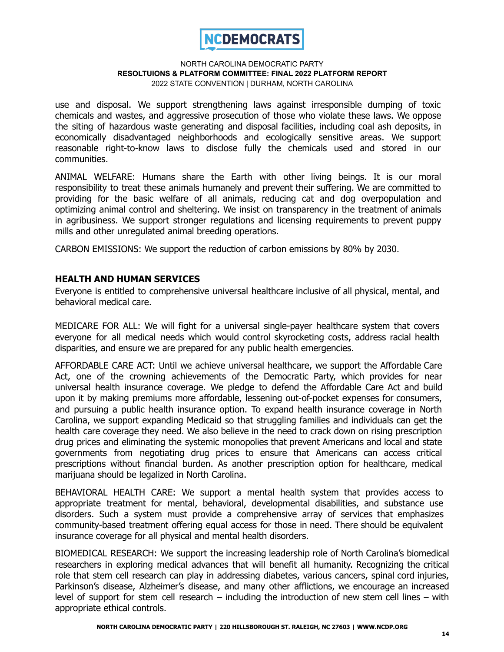

use and disposal. We support strengthening laws against irresponsible dumping of toxic chemicals and wastes, and aggressive prosecution of those who violate these laws. We oppose the siting of hazardous waste generating and disposal facilities, including coal ash deposits, in economically disadvantaged neighborhoods and ecologically sensitive areas. We support reasonable right-to-know laws to disclose fully the chemicals used and stored in our communities.

ANIMAL WELFARE: Humans share the Earth with other living beings. It is our moral responsibility to treat these animals humanely and prevent their suffering. We are committed to providing for the basic welfare of all animals, reducing cat and dog overpopulation and optimizing animal control and sheltering. We insist on transparency in the treatment of animals in agribusiness. We support stronger regulations and licensing requirements to prevent puppy mills and other unregulated animal breeding operations.

CARBON EMISSIONS: We support the reduction of carbon emissions by 80% by 2030.

# **HEALTH AND HUMAN SERVICES**

Everyone is entitled to comprehensive universal healthcare inclusive of all physical, mental, and behavioral medical care.

MEDICARE FOR ALL: We will fight for a universal single-payer healthcare system that covers everyone for all medical needs which would control skyrocketing costs, address racial health disparities, and ensure we are prepared for any public health emergencies.

AFFORDABLE CARE ACT: Until we achieve universal healthcare, we support the Affordable Care Act, one of the crowning achievements of the Democratic Party, which provides for near universal health insurance coverage. We pledge to defend the Affordable Care Act and build upon it by making premiums more affordable, lessening out-of-pocket expenses for consumers, and pursuing a public health insurance option. To expand health insurance coverage in North Carolina, we support expanding Medicaid so that struggling families and individuals can get the health care coverage they need. We also believe in the need to crack down on rising prescription drug prices and eliminating the systemic monopolies that prevent Americans and local and state governments from negotiating drug prices to ensure that Americans can access critical prescriptions without financial burden. As another prescription option for healthcare, medical marijuana should be legalized in North Carolina.

BEHAVIORAL HEALTH CARE: We support a mental health system that provides access to appropriate treatment for mental, behavioral, developmental disabilities, and substance use disorders. Such a system must provide a comprehensive array of services that emphasizes community-based treatment offering equal access for those in need. There should be equivalent insurance coverage for all physical and mental health disorders.

BIOMEDICAL RESEARCH: We support the increasing leadership role of North Carolina's biomedical researchers in exploring medical advances that will benefit all humanity. Recognizing the critical role that stem cell research can play in addressing diabetes, various cancers, spinal cord injuries, Parkinson's disease, Alzheimer's disease, and many other afflictions, we encourage an increased level of support for stem cell research – including the introduction of new stem cell lines – with appropriate ethical controls.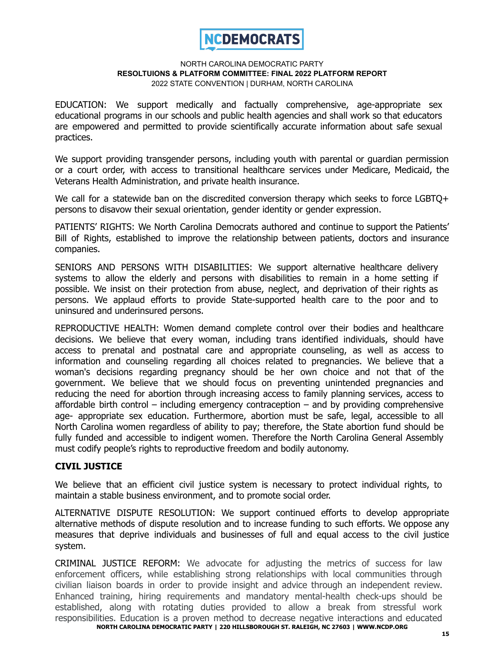

EDUCATION: We support medically and factually comprehensive, age-appropriate sex educational programs in our schools and public health agencies and shall work so that educators are empowered and permitted to provide scientifically accurate information about safe sexual practices.

We support providing transgender persons, including youth with parental or guardian permission or a court order, with access to transitional healthcare services under Medicare, Medicaid, the Veterans Health Administration, and private health insurance.

We call for a statewide ban on the discredited conversion therapy which seeks to force LGBTQ+ persons to disavow their sexual orientation, gender identity or gender expression.

PATIENTS' RIGHTS: We North Carolina Democrats authored and continue to support the Patients' Bill of Rights, established to improve the relationship between patients, doctors and insurance companies.

SENIORS AND PERSONS WITH DISABILITIES: We support alternative healthcare delivery systems to allow the elderly and persons with disabilities to remain in a home setting if possible. We insist on their protection from abuse, neglect, and deprivation of their rights as persons. We applaud efforts to provide State-supported health care to the poor and to uninsured and underinsured persons.

REPRODUCTIVE HEALTH: Women demand complete control over their bodies and healthcare decisions. We believe that every woman, including trans identified individuals, should have access to prenatal and postnatal care and appropriate counseling, as well as access to information and counseling regarding all choices related to pregnancies. We believe that a woman's decisions regarding pregnancy should be her own choice and not that of the government. We believe that we should focus on preventing unintended pregnancies and reducing the need for abortion through increasing access to family planning services, access to affordable birth control – including emergency contraception – and by providing comprehensive age- appropriate sex education. Furthermore, abortion must be safe, legal, accessible to all North Carolina women regardless of ability to pay; therefore, the State abortion fund should be fully funded and accessible to indigent women. Therefore the North Carolina General Assembly must codify people's rights to reproductive freedom and bodily autonomy.

# **CIVIL JUSTICE**

We believe that an efficient civil justice system is necessary to protect individual rights, to maintain a stable business environment, and to promote social order.

ALTERNATIVE DISPUTE RESOLUTION: We support continued efforts to develop appropriate alternative methods of dispute resolution and to increase funding to such efforts. We oppose any measures that deprive individuals and businesses of full and equal access to the civil justice system.

CRIMINAL JUSTICE REFORM: We advocate for adjusting the metrics of success for law enforcement officers, while establishing strong relationships with local communities through civilian liaison boards in order to provide insight and advice through an independent review. Enhanced training, hiring requirements and mandatory mental-health check-ups should be established, along with rotating duties provided to allow a break from stressful work responsibilities. Education is a proven method to decrease negative interactions and educated **NORTH CAROLINA DEMOCRATIC PARTY | 220 HILLSBOROUGH ST. RALEIGH, NC 27603 | WWW.NCDP.ORG**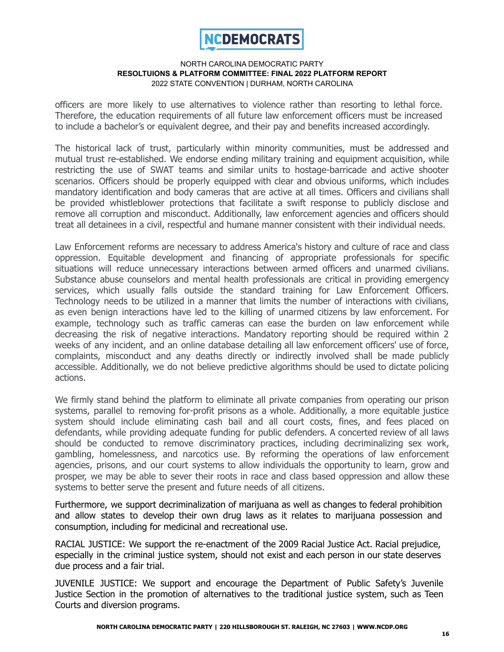

officers are more likely to use alternatives to violence rather than resorting to lethal force. Therefore, the education requirements of all future law enforcement officers must be increased to include a bachelor's or equivalent degree, and their pay and benefits increased accordingly.

The historical lack of trust, particularly within minority communities, must be addressed and mutual trust re-established. We endorse ending military training and equipment acquisition, while restricting the use of SWAT teams and similar units to hostage-barricade and active shooter scenarios. Officers should be properly equipped with clear and obvious uniforms, which includes mandatory identification and body cameras that are active at all times. Officers and civilians shall be provided whistleblower protections that facilitate a swift response to publicly disclose and remove all corruption and misconduct. Additionally, law enforcement agencies and officers should treat all detainees in a civil, respectful and humane manner consistent with their individual needs.

Law Enforcement reforms are necessary to address America's history and culture of race and class oppression. Equitable development and financing of appropriate professionals for specific situations will reduce unnecessary interactions between armed officers and unarmed civilians. Substance abuse counselors and mental health professionals are critical in providing emergency services, which usually falls outside the standard training for Law Enforcement Officers. Technology needs to be utilized in a manner that limits the number of interactions with civilians, as even benign interactions have led to the killing of unarmed citizens by law enforcement. For example, technology such as traffic cameras can ease the burden on law enforcement while decreasing the risk of negative interactions. Mandatory reporting should be required within 2 weeks of any incident, and an online database detailing all law enforcement officers' use of force, complaints, misconduct and any deaths directly or indirectly involved shall be made publicly accessible. Additionally, we do not believe predictive algorithms should be used to dictate policing actions.

We firmly stand behind the platform to eliminate all private companies from operating our prison systems, parallel to removing for-profit prisons as a whole. Additionally, a more equitable justice system should include eliminating cash bail and all court costs, fines, and fees placed on defendants, while providing adequate funding for public defenders. A concerted review of all laws should be conducted to remove discriminatory practices, including decriminalizing sex work, gambling, homelessness, and narcotics use. By reforming the operations of law enforcement agencies, prisons, and our court systems to allow individuals the opportunity to learn, grow and prosper, we may be able to sever their roots in race and class based oppression and allow these systems to better serve the present and future needs of all citizens.

Furthermore, we support decriminalization of marijuana as well as changes to federal prohibition and allow states to develop their own drug laws as it relates to marijuana possession and consumption, including for medicinal and recreational use.

RACIAL JUSTICE: We support the re-enactment of the 2009 Racial Justice Act. Racial prejudice, especially in the criminal justice system, should not exist and each person in our state deserves due process and a fair trial.

JUVENILE JUSTICE: We support and encourage the Department of Public Safety's Juvenile Justice Section in the promotion of alternatives to the traditional justice system, such as Teen Courts and diversion programs.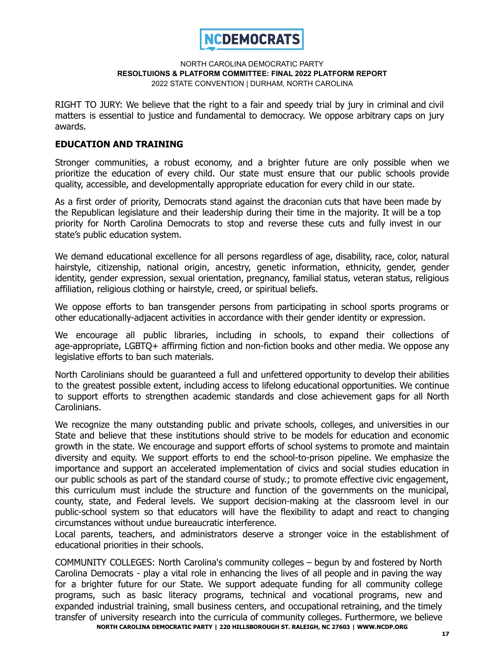

RIGHT TO JURY: We believe that the right to a fair and speedy trial by jury in criminal and civil matters is essential to justice and fundamental to democracy. We oppose arbitrary caps on jury awards.

### **EDUCATION AND TRAINING**

Stronger communities, a robust economy, and a brighter future are only possible when we prioritize the education of every child. Our state must ensure that our public schools provide quality, accessible, and developmentally appropriate education for every child in our state.

As a first order of priority, Democrats stand against the draconian cuts that have been made by the Republican legislature and their leadership during their time in the majority. It will be a top priority for North Carolina Democrats to stop and reverse these cuts and fully invest in our state's public education system.

We demand educational excellence for all persons regardless of age, disability, race, color, natural hairstyle, citizenship, national origin, ancestry, genetic information, ethnicity, gender, gender identity, gender expression, sexual orientation, pregnancy, familial status, veteran status, religious affiliation, religious clothing or hairstyle, creed, or spiritual beliefs.

We oppose efforts to ban transgender persons from participating in school sports programs or other educationally-adjacent activities in accordance with their gender identity or expression.

We encourage all public libraries, including in schools, to expand their collections of age-appropriate, LGBTQ+ affirming fiction and non-fiction books and other media. We oppose any legislative efforts to ban such materials.

North Carolinians should be guaranteed a full and unfettered opportunity to develop their abilities to the greatest possible extent, including access to lifelong educational opportunities. We continue to support efforts to strengthen academic standards and close achievement gaps for all North Carolinians.

We recognize the many outstanding public and private schools, colleges, and universities in our State and believe that these institutions should strive to be models for education and economic growth in the state. We encourage and support efforts of school systems to promote and maintain diversity and equity. We support efforts to end the school-to-prison pipeline. We emphasize the importance and support an accelerated implementation of civics and social studies education in our public schools as part of the standard course of study.; to promote effective civic engagement, this curriculum must include the structure and function of the governments on the municipal, county, state, and Federal levels. We support decision-making at the classroom level in our public-school system so that educators will have the flexibility to adapt and react to changing circumstances without undue bureaucratic interference.

Local parents, teachers, and administrators deserve a stronger voice in the establishment of educational priorities in their schools.

COMMUNITY COLLEGES: North Carolina's community colleges – begun by and fostered by North Carolina Democrats - play a vital role in enhancing the lives of all people and in paving the way for a brighter future for our State. We support adequate funding for all community college programs, such as basic literacy programs, technical and vocational programs, new and expanded industrial training, small business centers, and occupational retraining, and the timely transfer of university research into the curricula of community colleges. Furthermore, we believe

**NORTH CAROLINA DEMOCRATIC PARTY | 220 HILLSBOROUGH ST. RALEIGH, NC 27603 | WWW.NCDP.ORG**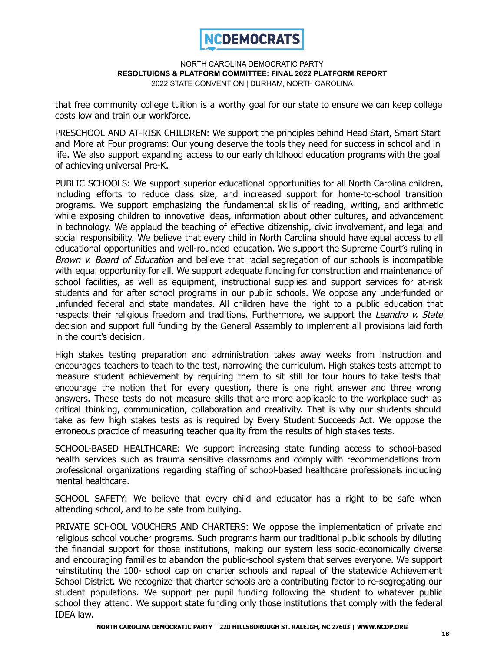

that free community college tuition is a worthy goal for our state to ensure we can keep college costs low and train our workforce.

PRESCHOOL AND AT-RISK CHILDREN: We support the principles behind Head Start, Smart Start and More at Four programs: Our young deserve the tools they need for success in school and in life. We also support expanding access to our early childhood education programs with the goal of achieving universal Pre-K.

PUBLIC SCHOOLS: We support superior educational opportunities for all North Carolina children, including efforts to reduce class size, and increased support for home-to-school transition programs. We support emphasizing the fundamental skills of reading, writing, and arithmetic while exposing children to innovative ideas, information about other cultures, and advancement in technology. We applaud the teaching of effective citizenship, civic involvement, and legal and social responsibility. We believe that every child in North Carolina should have equal access to all educational opportunities and well-rounded education. We support the Supreme Court's ruling in Brown v. Board of Education and believe that racial segregation of our schools is incompatible with equal opportunity for all. We support adequate funding for construction and maintenance of school facilities, as well as equipment, instructional supplies and support services for at-risk students and for after school programs in our public schools. We oppose any underfunded or unfunded federal and state mandates. All children have the right to a public education that respects their religious freedom and traditions. Furthermore, we support the Leandro v. State decision and support full funding by the General Assembly to implement all provisions laid forth in the court's decision.

High stakes testing preparation and administration takes away weeks from instruction and encourages teachers to teach to the test, narrowing the curriculum. High stakes tests attempt to measure student achievement by requiring them to sit still for four hours to take tests that encourage the notion that for every question, there is one right answer and three wrong answers. These tests do not measure skills that are more applicable to the workplace such as critical thinking, communication, collaboration and creativity. That is why our students should take as few high stakes tests as is required by Every Student Succeeds Act. We oppose the erroneous practice of measuring teacher quality from the results of high stakes tests.

SCHOOL-BASED HEALTHCARE: We support increasing state funding access to school-based health services such as trauma sensitive classrooms and comply with recommendations from professional organizations regarding staffing of school-based healthcare professionals including mental healthcare.

SCHOOL SAFETY: We believe that every child and educator has a right to be safe when attending school, and to be safe from bullying.

PRIVATE SCHOOL VOUCHERS AND CHARTERS: We oppose the implementation of private and religious school voucher programs. Such programs harm our traditional public schools by diluting the financial support for those institutions, making our system less socio-economically diverse and encouraging families to abandon the public-school system that serves everyone. We support reinstituting the 100- school cap on charter schools and repeal of the statewide Achievement School District. We recognize that charter schools are a contributing factor to re-segregating our student populations. We support per pupil funding following the student to whatever public school they attend. We support state funding only those institutions that comply with the federal IDEA law.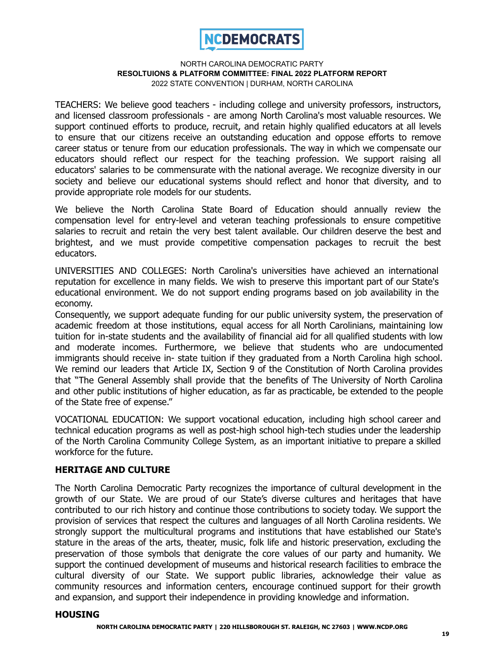

TEACHERS: We believe good teachers - including college and university professors, instructors, and licensed classroom professionals - are among North Carolina's most valuable resources. We support continued efforts to produce, recruit, and retain highly qualified educators at all levels to ensure that our citizens receive an outstanding education and oppose efforts to remove career status or tenure from our education professionals. The way in which we compensate our educators should reflect our respect for the teaching profession. We support raising all educators' salaries to be commensurate with the national average. We recognize diversity in our society and believe our educational systems should reflect and honor that diversity, and to provide appropriate role models for our students.

We believe the North Carolina State Board of Education should annually review the compensation level for entry-level and veteran teaching professionals to ensure competitive salaries to recruit and retain the very best talent available. Our children deserve the best and brightest, and we must provide competitive compensation packages to recruit the best educators.

UNIVERSITIES AND COLLEGES: North Carolina's universities have achieved an international reputation for excellence in many fields. We wish to preserve this important part of our State's educational environment. We do not support ending programs based on job availability in the economy.

Consequently, we support adequate funding for our public university system, the preservation of academic freedom at those institutions, equal access for all North Carolinians, maintaining low tuition for in-state students and the availability of financial aid for all qualified students with low and moderate incomes. Furthermore, we believe that students who are undocumented immigrants should receive in- state tuition if they graduated from a North Carolina high school. We remind our leaders that Article IX, Section 9 of the Constitution of North Carolina provides that "The General Assembly shall provide that the benefits of The University of North Carolina and other public institutions of higher education, as far as practicable, be extended to the people of the State free of expense."

VOCATIONAL EDUCATION: We support vocational education, including high school career and technical education programs as well as post-high school high-tech studies under the leadership of the North Carolina Community College System, as an important initiative to prepare a skilled workforce for the future.

### **HERITAGE AND CULTURE**

The North Carolina Democratic Party recognizes the importance of cultural development in the growth of our State. We are proud of our State's diverse cultures and heritages that have contributed to our rich history and continue those contributions to society today. We support the provision of services that respect the cultures and languages of all North Carolina residents. We strongly support the multicultural programs and institutions that have established our State's stature in the areas of the arts, theater, music, folk life and historic preservation, excluding the preservation of those symbols that denigrate the core values of our party and humanity. We support the continued development of museums and historical research facilities to embrace the cultural diversity of our State. We support public libraries, acknowledge their value as community resources and information centers, encourage continued support for their growth and expansion, and support their independence in providing knowledge and information.

### **HOUSING**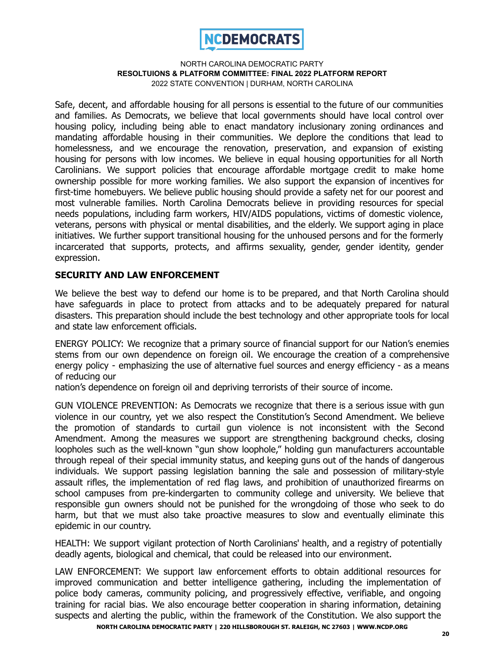

Safe, decent, and affordable housing for all persons is essential to the future of our communities and families. As Democrats, we believe that local governments should have local control over housing policy, including being able to enact mandatory inclusionary zoning ordinances and mandating affordable housing in their communities. We deplore the conditions that lead to homelessness, and we encourage the renovation, preservation, and expansion of existing housing for persons with low incomes. We believe in equal housing opportunities for all North Carolinians. We support policies that encourage affordable mortgage credit to make home ownership possible for more working families. We also support the expansion of incentives for first-time homebuyers. We believe public housing should provide a safety net for our poorest and most vulnerable families. North Carolina Democrats believe in providing resources for special needs populations, including farm workers, HIV/AIDS populations, victims of domestic violence, veterans, persons with physical or mental disabilities, and the elderly. We support aging in place initiatives. We further support transitional housing for the unhoused persons and for the formerly incarcerated that supports, protects, and affirms sexuality, gender, gender identity, gender expression.

# **SECURITY AND LAW ENFORCEMENT**

We believe the best way to defend our home is to be prepared, and that North Carolina should have safeguards in place to protect from attacks and to be adequately prepared for natural disasters. This preparation should include the best technology and other appropriate tools for local and state law enforcement officials.

ENERGY POLICY: We recognize that a primary source of financial support for our Nation's enemies stems from our own dependence on foreign oil. We encourage the creation of a comprehensive energy policy - emphasizing the use of alternative fuel sources and energy efficiency - as a means of reducing our

nation's dependence on foreign oil and depriving terrorists of their source of income.

GUN VIOLENCE PREVENTION: As Democrats we recognize that there is a serious issue with gun violence in our country, yet we also respect the Constitution's Second Amendment. We believe the promotion of standards to curtail gun violence is not inconsistent with the Second Amendment. Among the measures we support are strengthening background checks, closing loopholes such as the well-known "gun show loophole," holding gun manufacturers accountable through repeal of their special immunity status, and keeping guns out of the hands of dangerous individuals. We support passing legislation banning the sale and possession of military-style assault rifles, the implementation of red flag laws, and prohibition of unauthorized firearms on school campuses from pre-kindergarten to community college and university. We believe that responsible gun owners should not be punished for the wrongdoing of those who seek to do harm, but that we must also take proactive measures to slow and eventually eliminate this epidemic in our country.

HEALTH: We support vigilant protection of North Carolinians' health, and a registry of potentially deadly agents, biological and chemical, that could be released into our environment.

LAW ENFORCEMENT: We support law enforcement efforts to obtain additional resources for improved communication and better intelligence gathering, including the implementation of police body cameras, community policing, and progressively effective, verifiable, and ongoing training for racial bias. We also encourage better cooperation in sharing information, detaining suspects and alerting the public, within the framework of the Constitution. We also support the

**NORTH CAROLINA DEMOCRATIC PARTY | 220 HILLSBOROUGH ST. RALEIGH, NC 27603 | WWW.NCDP.ORG**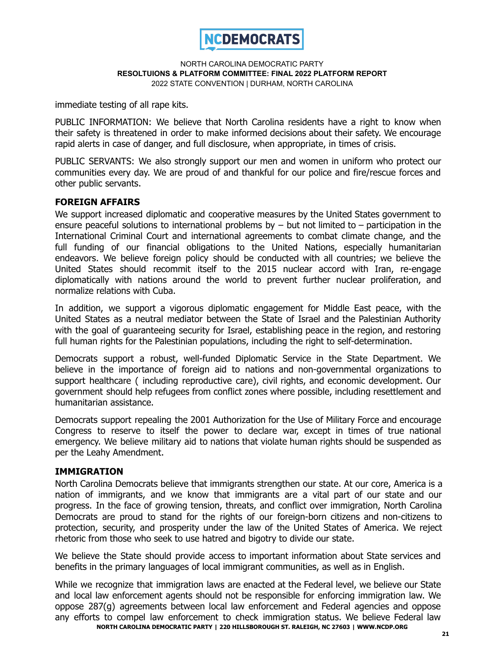

immediate testing of all rape kits.

PUBLIC INFORMATION: We believe that North Carolina residents have a right to know when their safety is threatened in order to make informed decisions about their safety. We encourage rapid alerts in case of danger, and full disclosure, when appropriate, in times of crisis.

PUBLIC SERVANTS: We also strongly support our men and women in uniform who protect our communities every day. We are proud of and thankful for our police and fire/rescue forces and other public servants.

# **FOREIGN AFFAIRS**

We support increased diplomatic and cooperative measures by the United States government to ensure peaceful solutions to international problems by  $-$  but not limited to  $-$  participation in the International Criminal Court and international agreements to combat climate change, and the full funding of our financial obligations to the United Nations, especially humanitarian endeavors. We believe foreign policy should be conducted with all countries; we believe the United States should recommit itself to the 2015 nuclear accord with Iran, re-engage diplomatically with nations around the world to prevent further nuclear proliferation, and normalize relations with Cuba.

In addition, we support a vigorous diplomatic engagement for Middle East peace, with the United States as a neutral mediator between the State of Israel and the Palestinian Authority with the goal of guaranteeing security for Israel, establishing peace in the region, and restoring full human rights for the Palestinian populations, including the right to self-determination.

Democrats support a robust, well-funded Diplomatic Service in the State Department. We believe in the importance of foreign aid to nations and non-governmental organizations to support healthcare ( including reproductive care), civil rights, and economic development. Our government should help refugees from conflict zones where possible, including resettlement and humanitarian assistance.

Democrats support repealing the 2001 Authorization for the Use of Military Force and encourage Congress to reserve to itself the power to declare war, except in times of true national emergency. We believe military aid to nations that violate human rights should be suspended as per the Leahy Amendment.

# **IMMIGRATION**

North Carolina Democrats believe that immigrants strengthen our state. At our core, America is a nation of immigrants, and we know that immigrants are a vital part of our state and our progress. In the face of growing tension, threats, and conflict over immigration, North Carolina Democrats are proud to stand for the rights of our foreign-born citizens and non-citizens to protection, security, and prosperity under the law of the United States of America. We reject rhetoric from those who seek to use hatred and bigotry to divide our state.

We believe the State should provide access to important information about State services and benefits in the primary languages of local immigrant communities, as well as in English.

While we recognize that immigration laws are enacted at the Federal level, we believe our State and local law enforcement agents should not be responsible for enforcing immigration law. We oppose 287(g) agreements between local law enforcement and Federal agencies and oppose any efforts to compel law enforcement to check immigration status. We believe Federal law **NORTH CAROLINA DEMOCRATIC PARTY | 220 HILLSBOROUGH ST. RALEIGH, NC 27603 | WWW.NCDP.ORG**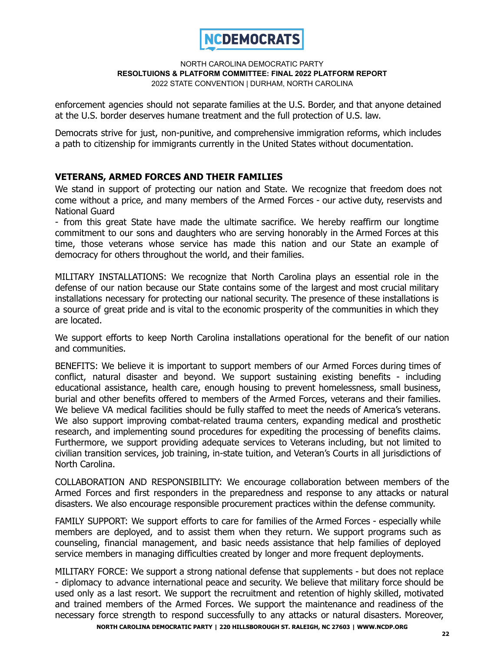

enforcement agencies should not separate families at the U.S. Border, and that anyone detained at the U.S. border deserves humane treatment and the full protection of U.S. law.

Democrats strive for just, non-punitive, and comprehensive immigration reforms, which includes a path to citizenship for immigrants currently in the United States without documentation.

# **VETERANS, ARMED FORCES AND THEIR FAMILIES**

We stand in support of protecting our nation and State. We recognize that freedom does not come without a price, and many members of the Armed Forces - our active duty, reservists and National Guard

- from this great State have made the ultimate sacrifice. We hereby reaffirm our longtime commitment to our sons and daughters who are serving honorably in the Armed Forces at this time, those veterans whose service has made this nation and our State an example of democracy for others throughout the world, and their families.

MILITARY INSTALLATIONS: We recognize that North Carolina plays an essential role in the defense of our nation because our State contains some of the largest and most crucial military installations necessary for protecting our national security. The presence of these installations is a source of great pride and is vital to the economic prosperity of the communities in which they are located.

We support efforts to keep North Carolina installations operational for the benefit of our nation and communities.

BENEFITS: We believe it is important to support members of our Armed Forces during times of conflict, natural disaster and beyond. We support sustaining existing benefits - including educational assistance, health care, enough housing to prevent homelessness, small business, burial and other benefits offered to members of the Armed Forces, veterans and their families. We believe VA medical facilities should be fully staffed to meet the needs of America's veterans. We also support improving combat-related trauma centers, expanding medical and prosthetic research, and implementing sound procedures for expediting the processing of benefits claims. Furthermore, we support providing adequate services to Veterans including, but not limited to civilian transition services, job training, in-state tuition, and Veteran's Courts in all jurisdictions of North Carolina.

COLLABORATION AND RESPONSIBILITY: We encourage collaboration between members of the Armed Forces and first responders in the preparedness and response to any attacks or natural disasters. We also encourage responsible procurement practices within the defense community.

FAMILY SUPPORT: We support efforts to care for families of the Armed Forces - especially while members are deployed, and to assist them when they return. We support programs such as counseling, financial management, and basic needs assistance that help families of deployed service members in managing difficulties created by longer and more frequent deployments.

MILITARY FORCE: We support a strong national defense that supplements - but does not replace - diplomacy to advance international peace and security. We believe that military force should be used only as a last resort. We support the recruitment and retention of highly skilled, motivated and trained members of the Armed Forces. We support the maintenance and readiness of the necessary force strength to respond successfully to any attacks or natural disasters. Moreover,

**NORTH CAROLINA DEMOCRATIC PARTY | 220 HILLSBOROUGH ST. RALEIGH, NC 27603 | WWW.NCDP.ORG**